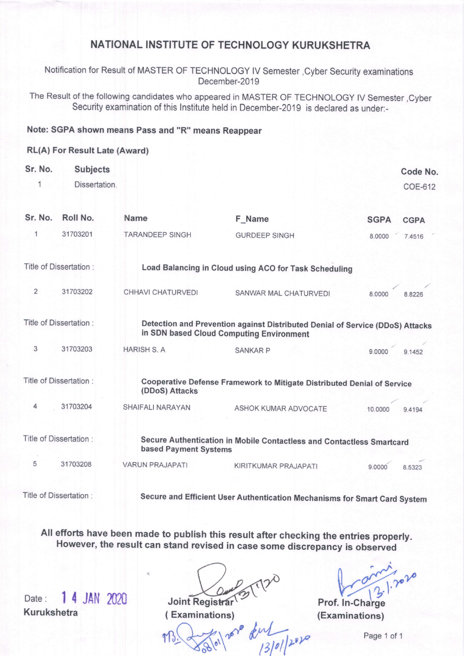## NATIONAL INSTITUTE OF TECHNOLOGY KURUKSHETRA

Notification for Result of MASTER OF TECHNOLOGY lV Semester ,Cyber Security examinations December-2019

The Result of the following candidates who appeared in MASTER OF TECHNOLOGY lV Semester ,Cyber Security examination of this lnstitute held in December-2O19 is declared as under:-

### Note: SGPA shown means Pass and "R" means Reappear

### RL(A) For Result Late (Award)

| Sr. No.        | <b>Subjects</b><br>Dissertation. |                        |                                                                                                                           |             | Code No.<br>COE-612 |
|----------------|----------------------------------|------------------------|---------------------------------------------------------------------------------------------------------------------------|-------------|---------------------|
| Sr. No.        | Roll No.                         | <b>Name</b>            | F Name                                                                                                                    | <b>SGPA</b> | <b>CGPA</b>         |
| 1              | 31703201                         | <b>TARANDEEP SINGH</b> | <b>GURDEEP SINGH</b>                                                                                                      | 8.0000      | 7.4516              |
|                | Title of Dissertation :          |                        | Load Balancing in Cloud using ACO for Task Scheduling                                                                     |             |                     |
| $\overline{2}$ | 31703202                         | CHHAVI CHATURVEDI      | SANWAR MAL CHATURVEDI                                                                                                     | 8.0000      | 8.8226              |
|                | Title of Dissertation :          |                        | Detection and Prevention against Distributed Denial of Service (DDoS) Attacks<br>in SDN based Cloud Computing Environment |             |                     |
| 3              | 31703203                         | <b>HARISH S. A</b>     | <b>SANKAR P</b>                                                                                                           | 9.0000      | 9.1452              |
|                | Title of Dissertation :          | (DDoS) Attacks         | Cooperative Defense Framework to Mitigate Distributed Denial of Service                                                   |             |                     |
| 4              | 31703204                         | SHAIFALI NARAYAN       | ASHOK KUMAR ADVOCATE                                                                                                      | 10,0000     | 9.4194              |
|                | Title of Dissertation :          | based Payment Systems  | Secure Authentication in Mobile Contactless and Contactless Smartcard                                                     |             |                     |
| 5              | 31703208                         | <b>VARUN PRAJAPATI</b> | KIRITKUMAR PRAJAPATI                                                                                                      | 9.0000      | 8.5323              |
|                | Title of Dissertation :          |                        | Secure and Efficient User Authentication Mechanisms for Smart Card System                                                 |             |                     |

All efforts have been made to publish this result after checking the entries properly. However, the result can stand revised in case some discrepancy is observed

Date: 1 4 JAN 2020 Joint Registrar Kurukshetra

aracijar

Prof. In-Charge ( Examinations) (Examinations)